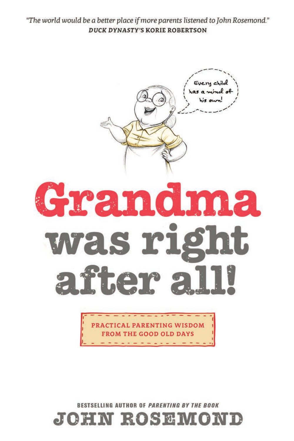

**PRACTICAL PARENTING WISDOM THE GOOD OLD DAYS** 





"The world would be a better place if more parents listened to John Rosemond." **DUCK DYNASTY'S KORIE ROBERTSON**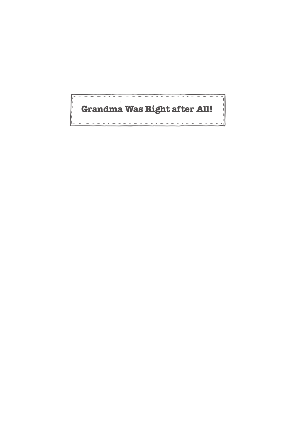$\equiv$ **Grandma Was Right after All!**

 $\label{eq:1.1} \alpha_{\alpha} = \alpha_{\alpha} = \alpha_{\alpha} = \alpha_{\alpha}$ 

÷ T ÷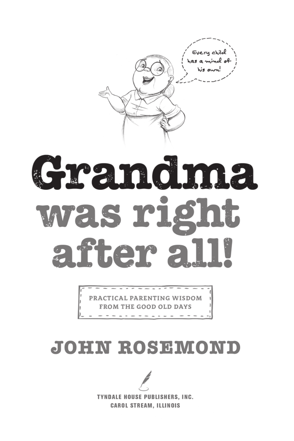

# Grandma was right after all!

PRACTICAL PARENTING WISDOM FROM THE GOOD OLD DAYS

# **JOHN ROSEMOND**

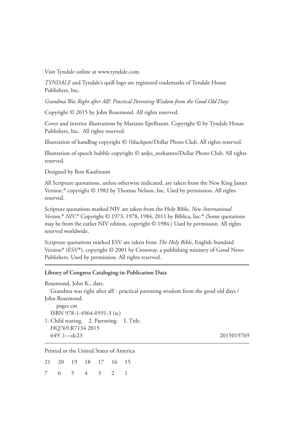Visit Tyndale online at www.tyndale.com.

*TYNDALE* and Tyndale's quill logo are registered trademarks of Tyndale House Publishers, Inc.

*Grandma Was Right after All!: Practical Parenting Wisdom from the Good Old Days*

Copyright © 2015 by John Rosemond. All rights reserved.

Cover and interior illustrations by Mariano Epelbaum. Copyright © by Tyndale House Publishers, Inc. All rights reserved.

Illustration of handbag copyright © 1blackpen/Dollar Photo Club. All rights reserved.

Illustration of speech bubble copyright © ardjo\_soekamto/Dollar Photo Club. All rights reserved.

Designed by Ron Kaufmann

All Scripture quotations, unless otherwise indicated, are taken from the New King James Version,® copyright © 1982 by Thomas Nelson, Inc. Used by permission. All rights reserved.

Scripture quotations marked NIV are taken from the Holy Bible, *New International Version*, ® *NIV*. ® Copyright © 1973, 1978, 1984, 2011 by Biblica, Inc.® (Some quotations may be from the earlier NIV edition, copyright © 1984.) Used by permission. All rights reserved worldwide.

Scripture quotations marked ESV are taken from *The Holy Bible*, English Standard Version® (ESV®), copyright © 2001 by Crossway, a publishing ministry of Good News Publishers. Used by permission. All rights reserved.

#### **Library of Congress Cataloging-in-Publication Data**

Rosemond, John K., date.

Grandma was right after all! : practical parenting wisdom from the good old days / John Rosemond.

 pages cm ISBN 978-1-4964-0591-3 (sc) 1. Child rearing. 2. Parenting. I. Title. HQ769.R7134 2015  $649'.1 - 4c23$  2015019769

Printed in the United States of America

21 20 19 18 17 16 15 7 6 5 4 3 2 1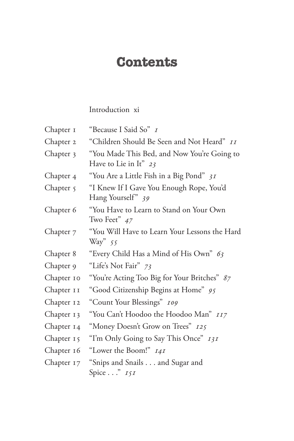# **Contents**

## [Introduction xi](#page-7-0)

| Chapter 1  | "Because I Said So" 1                                                |
|------------|----------------------------------------------------------------------|
| Chapter 2  | "Children Should Be Seen and Not Heard" II                           |
| Chapter 3  | "You Made This Bed, and Now You're Going to<br>Have to Lie in It" 23 |
| Chapter 4  | "You Are a Little Fish in a Big Pond" 31                             |
| Chapter 5  | "I Knew If I Gave You Enough Rope, You'd<br>Hang Yourself" 39        |
| Chapter 6  | "You Have to Learn to Stand on Your Own<br>Two Feet" 47              |
| Chapter 7  | "You Will Have to Learn Your Lessons the Hard<br>$\text{Way}^n$ 55   |
| Chapter 8  | "Every Child Has a Mind of His Own" 63                               |
| Chapter 9  | "Life's Not Fair" 73                                                 |
| Chapter 10 | "You're Acting Too Big for Your Britches" 87                         |
| Chapter 11 | "Good Citizenship Begins at Home" 95                                 |
| Chapter 12 | "Count Your Blessings" 109                                           |
| Chapter 13 | "You Can't Hoodoo the Hoodoo Man" 117                                |
| Chapter 14 | "Money Doesn't Grow on Trees" 125                                    |
| Chapter 15 | "I'm Only Going to Say This Once" 131                                |
| Chapter 16 | "Lower the Boom!" 141                                                |
| Chapter 17 | "Snips and Snails and Sugar and<br>Spice $\ldots$ " $_{I5I}$         |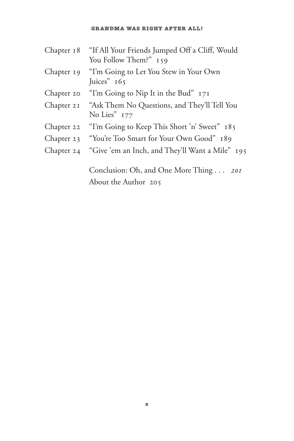#### **GRANDMA WAS RIGHT AFTER ALL!**

| Chapter 18 | "If All Your Friends Jumped Off a Cliff, Would<br>You Follow Them?" 159 |
|------------|-------------------------------------------------------------------------|
| Chapter 19 | "I'm Going to Let You Stew in Your Own<br>Juices" $165$                 |
| Chapter 20 | "I'm Going to Nip It in the Bud" 171                                    |
| Chapter 21 | "Ask Them No Questions, and They'll Tell You<br>No Lies" 177            |
| Chapter 22 | "I'm Going to Keep This Short 'n' Sweet" 185                            |
| Chapter 23 | "You're Too Smart for Your Own Good" 189                                |
| Chapter 24 | "Give 'em an Inch, and They'll Want a Mile" 195                         |
|            | Conclusion: Oh, and One More Thing 201                                  |
|            | About the Author 205                                                    |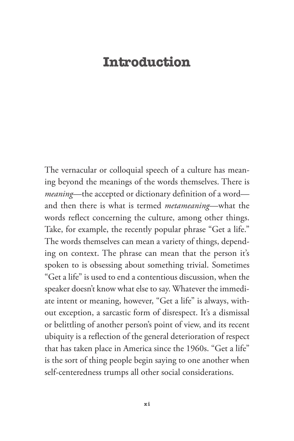# <span id="page-7-0"></span>**Introduction**

The vernacular or colloquial speech of a culture has meaning beyond the meanings of the words themselves. There is *meaning*—the accepted or dictionary definition of a word and then there is what is termed *metameaning*— what the words reflect concerning the culture, among other things. Take, for example, the recently popular phrase "Get a life." The words themselves can mean a variety of things, depending on context. The phrase can mean that the person it's spoken to is obsessing about something trivial. Sometimes "Get a life" is used to end a contentious discussion, when the speaker doesn't know what else to say. Whatever the immediate intent or meaning, however, "Get a life" is always, without exception, a sarcastic form of disrespect. It's a dismissal or belittling of another person's point of view, and its recent ubiquity is a reflection of the general deterioration of respect that has taken place in America since the 1960s. "Get a life" is the sort of thing people begin saying to one another when self-centeredness trumps all other social considerations.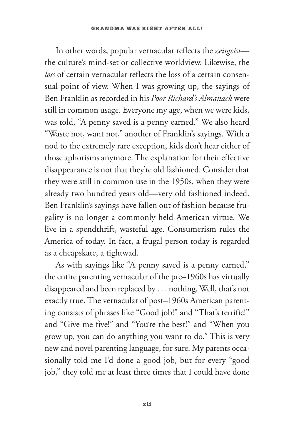In other words, popular vernacular reflects the *zeitgeist* the culture's mind-set or collective worldview. Likewise, the *loss* of certain vernacular reflects the loss of a certain consensual point of view. When I was growing up, the sayings of Ben Franklin as recorded in his *Poor Richard's Almanack* were still in common usage. Everyone my age, when we were kids, was told, "A penny saved is a penny earned." We also heard "Waste not, want not," another of Franklin's sayings. With a nod to the extremely rare exception, kids don't hear either of those aphorisms anymore. The explanation for their effective disappearance is not that they're old fashioned. Consider that they were still in common use in the 1950s, when they were already two hundred years old—very old fashioned indeed. Ben Franklin's sayings have fallen out of fashion because frugality is no longer a commonly held American virtue. We live in a spendthrift, wasteful age. Consumerism rules the America of today. In fact, a frugal person today is regarded as a cheapskate, a tightwad.

As with sayings like "A penny saved is a penny earned," the entire parenting vernacular of the pre–1960s has virtually disappeared and been replaced by . . . nothing. Well, that's not exactly true. The vernacular of post–1960s American parenting consists of phrases like "Good job!" and "That's terrific!" and "Give me five!" and "You're the best!" and "When you grow up, you can do anything you want to do." This is very new and novel parenting language, for sure. My parents occasionally told me I'd done a good job, but for every "good job," they told me at least three times that I could have done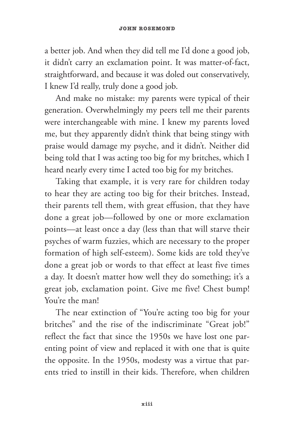#### **JOHN ROSEMOND**

a better job. And when they did tell me I'd done a good job, it didn't carry an exclamation point. It was matter-of-fact, straightforward, and because it was doled out conservatively, I knew I'd really, truly done a good job.

And make no mistake: my parents were typical of their generation. Overwhelmingly my peers tell me their parents were interchangeable with mine. I knew my parents loved me, but they apparently didn't think that being stingy with praise would damage my psyche, and it didn't. Neither did being told that I was acting too big for my britches, which I heard nearly every time I acted too big for my britches.

Taking that example, it is very rare for children today to hear they are acting too big for their britches. Instead, their parents tell them, with great effusion, that they have done a great job— followed by one or more exclamation points—at least once a day (less than that will starve their psyches of warm fuzzies, which are necessary to the proper formation of high self-esteem). Some kids are told they've done a great job or words to that effect at least five times a day. It doesn't matter how well they do something; it's a great job, exclamation point. Give me five! Chest bump! You're the man!

The near extinction of "You're acting too big for your britches" and the rise of the indiscriminate "Great job!" reflect the fact that since the 1950s we have lost one parenting point of view and replaced it with one that is quite the opposite. In the 1950s, modesty was a virtue that parents tried to instill in their kids. Therefore, when children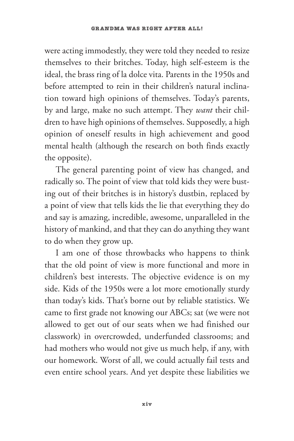were acting immodestly, they were told they needed to resize themselves to their britches. Today, high self-esteem is the ideal, the brass ring of la dolce vita. Parents in the 1950s and before attempted to rein in their children's natural inclination toward high opinions of themselves. Today's parents, by and large, make no such attempt. They *want* their children to have high opinions of themselves. Supposedly, a high opinion of oneself results in high achievement and good mental health (although the research on both finds exactly the opposite).

The general parenting point of view has changed, and radically so. The point of view that told kids they were busting out of their britches is in history's dustbin, replaced by a point of view that tells kids the lie that everything they do and say is amazing, incredible, awesome, unparalleled in the history of mankind, and that they can do anything they want to do when they grow up.

I am one of those throwbacks who happens to think that the old point of view is more functional and more in children's best interests. The objective evidence is on my side. Kids of the 1950s were a lot more emotionally sturdy than today's kids. That's borne out by reliable statistics. We came to first grade not knowing our ABCs; sat (we were not allowed to get out of our seats when we had finished our classwork) in overcrowded, underfunded classrooms; and had mothers who would not give us much help, if any, with our homework. Worst of all, we could actually fail tests and even entire school years. And yet despite these liabilities we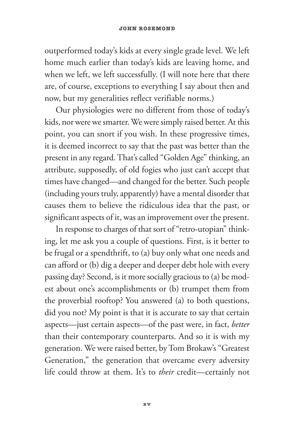#### **JOHN ROSEMOND**

outperformed today's kids at every single grade level. We left home much earlier than today's kids are leaving home, and when we left, we left successfully. (I will note here that there are, of course, exceptions to everything I say about then and now, but my generalities reflect verifiable norms.)

Our physiologies were no different from those of today's kids, nor were we smarter. We were simply raised better. At this point, you can snort if you wish. In these progressive times, it is deemed incorrect to say that the past was better than the present in any regard. That's called "Golden Age" thinking, an attribute, supposedly, of old fogies who just can't accept that times have changed—and changed for the better. Such people (including yours truly, apparently) have a mental disorder that causes them to believe the ridiculous idea that the past, or significant aspects of it, was an improvement over the present.

In response to charges of that sort of "retro-utopian" thinking, let me ask you a couple of questions. First, is it better to be frugal or a spendthrift, to (a) buy only what one needs and can afford or (b) dig a deeper and deeper debt hole with every passing day? Second, is it more socially gracious to (a) be modest about one's accomplishments or (b) trumpet them from the proverbial rooftop? You answered (a) to both questions, did you not? My point is that it is accurate to say that certain aspects—just certain aspects—of the past were, in fact, *better* than their contemporary counterparts. And so it is with my generation. We were raised better, by Tom Brokaw's "Greatest Generation," the generation that overcame every adversity life could throw at them. It's to *their* credit— certainly not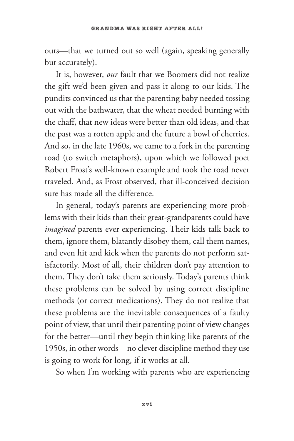ours—that we turned out so well (again, speaking generally but accurately).

It is, however, *our* fault that we Boomers did not realize the gift we'd been given and pass it along to our kids. The pundits convinced us that the parenting baby needed tossing out with the bathwater, that the wheat needed burning with the chaff, that new ideas were better than old ideas, and that the past was a rotten apple and the future a bowl of cherries. And so, in the late 1960s, we came to a fork in the parenting road (to switch metaphors), upon which we followed poet Robert Frost's well-known example and took the road never traveled. And, as Frost observed, that ill-conceived decision sure has made all the difference.

In general, today's parents are experiencing more problems with their kids than their great-grandparents could have *imagined* parents ever experiencing. Their kids talk back to them, ignore them, blatantly disobey them, call them names, and even hit and kick when the parents do not perform satisfactorily. Most of all, their children don't pay attention to them. They don't take them seriously. Today's parents think these problems can be solved by using correct discipline methods (or correct medications). They do not realize that these problems are the inevitable consequences of a faulty point of view, that until their parenting point of view changes for the better—until they begin thinking like parents of the 1950s, in other words—no clever discipline method they use is going to work for long, if it works at all.

So when I'm working with parents who are experiencing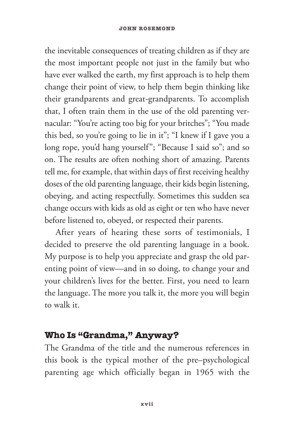the inevitable consequences of treating children as if they are the most important people not just in the family but who have ever walked the earth, my first approach is to help them change their point of view, to help them begin thinking like their grandparents and great-grandparents. To accomplish that, I often train them in the use of the old parenting vernacular: "You're acting too big for your britches"; "You made this bed, so you're going to lie in it"; "I knew if I gave you a long rope, you'd hang yourself"; "Because I said so"; and so on. The results are often nothing short of amazing. Parents tell me, for example, that within days of first receiving healthy doses of the old parenting language, their kids begin listening, obeying, and acting respectfully. Sometimes this sudden sea change occurs with kids as old as eight or ten who have never before listened to, obeyed, or respected their parents.

After years of hearing these sorts of testimonials, I decided to preserve the old parenting language in a book. My purpose is to help you appreciate and grasp the old parenting point of view—and in so doing, to change your and your children's lives for the better. First, you need to learn the language. The more you talk it, the more you will begin to walk it.

#### **Who Is "Grandma," Anyway?**

The Grandma of the title and the numerous references in this book is the typical mother of the pre– psychological parenting age which officially began in 1965 with the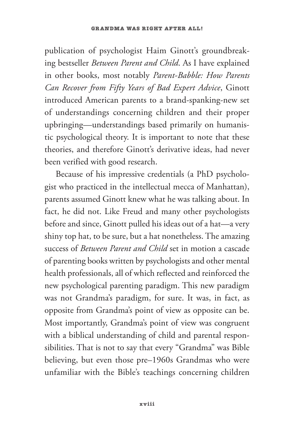publication of psychologist Haim Ginott's groundbreaking bestseller *Between Parent and Child*. As I have explained in other books, most notably *Parent-Babble: How Parents Can Recover from Fifty Years of Bad Expert Advice*, Ginott introduced American parents to a brand-spanking-new set of understandings concerning children and their proper upbringing— understandings based primarily on humanistic psychological theory. It is important to note that these theories, and therefore Ginott's derivative ideas, had never been verified with good research.

Because of his impressive credentials (a PhD psychologist who practiced in the intellectual mecca of Manhattan), parents assumed Ginott knew what he was talking about. In fact, he did not. Like Freud and many other psychologists before and since, Ginott pulled his ideas out of a hat—a very shiny top hat, to be sure, but a hat nonetheless. The amazing success of *Between Parent and Child* set in motion a cascade of parenting books written by psychologists and other mental health professionals, all of which reflected and reinforced the new psychological parenting paradigm. This new paradigm was not Grandma's paradigm, for sure. It was, in fact, as opposite from Grandma's point of view as opposite can be. Most importantly, Grandma's point of view was congruent with a biblical understanding of child and parental responsibilities. That is not to say that every "Grandma" was Bible believing, but even those pre–1960s Grandmas who were unfamiliar with the Bible's teachings concerning children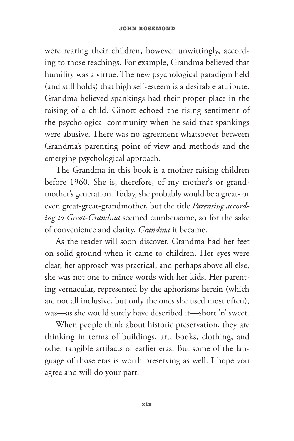were rearing their children, however unwittingly, according to those teachings. For example, Grandma believed that humility was a virtue. The new psychological paradigm held (and still holds) that high self-esteem is a desirable attribute. Grandma believed spankings had their proper place in the raising of a child. Ginott echoed the rising sentiment of the psychological community when he said that spankings were abusive. There was no agreement whatsoever between Grandma's parenting point of view and methods and the emerging psychological approach.

The Grandma in this book is a mother raising children before 1960. She is, therefore, of my mother's or grandmother's generation. Today, she probably would be a great- or even great-great-grandmother, but the title *Parenting according to Great-Grandma* seemed cumbersome, so for the sake of convenience and clarity, *Grandma* it became.

As the reader will soon discover, Grandma had her feet on solid ground when it came to children. Her eyes were clear, her approach was practical, and perhaps above all else, she was not one to mince words with her kids. Her parenting vernacular, represented by the aphorisms herein (which are not all inclusive, but only the ones she used most often), was—as she would surely have described it—short 'n' sweet.

When people think about historic preservation, they are thinking in terms of buildings, art, books, clothing, and other tangible artifacts of earlier eras. But some of the language of those eras is worth preserving as well. I hope you agree and will do your part.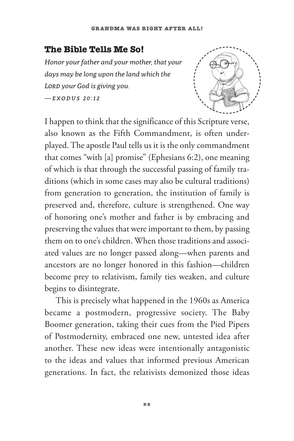## **The Bible Tells Me So!**

*Honor your father and your mother, that your days may be long upon the land which the Lord your God is giving you. —Exodus 20:12*



I happen to think that the significance of this Scripture verse, also known as the Fifth Commandment, is often underplayed. The apostle Paul tells us it is the only commandment that comes "with [a] promise" (Ephesians 6:2), one meaning of which is that through the successful passing of family traditions (which in some cases may also be cultural traditions) from generation to generation, the institution of family is preserved and, therefore, culture is strengthened. One way of honoring one's mother and father is by embracing and preserving the values that were important to them, by passing them on to one's children. When those traditions and associated values are no longer passed along—when parents and ancestors are no longer honored in this fashion— children become prey to relativism, family ties weaken, and culture begins to disintegrate.

This is precisely what happened in the 1960s as America became a postmodern, progressive society. The Baby Boomer generation, taking their cues from the Pied Pipers of Postmodernity, embraced one new, untested idea after another. These new ideas were intentionally antagonistic to the ideas and values that informed previous American generations. In fact, the relativists demonized those ideas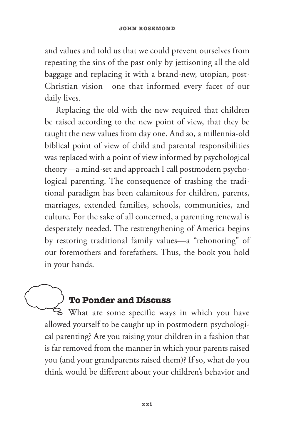#### **JOHN ROSEMOND**

and values and told us that we could prevent ourselves from repeating the sins of the past only by jettisoning all the old baggage and replacing it with a brand-new, utopian, post-Christian vision— one that informed every facet of our daily lives.

Replacing the old with the new required that children be raised according to the new point of view, that they be taught the new values from day one. And so, a millennia-old biblical point of view of child and parental responsibilities was replaced with a point of view informed by psychological theory—a mind-set and approach I call postmodern psychological parenting. The consequence of trashing the traditional paradigm has been calamitous for children, parents, marriages, extended families, schools, communities, and culture. For the sake of all concerned, a parenting renewal is desperately needed. The restrengthening of America begins by restoring traditional family values—a "rehonoring" of our foremothers and forefathers. Thus, the book you hold in your hands.

# **To Ponder and Discuss**

What are some specific ways in which you have allowed yourself to be caught up in postmodern psychological parenting? Are you raising your children in a fashion that is far removed from the manner in which your parents raised you (and your grandparents raised them)? If so, what do you think would be different about your children's behavior and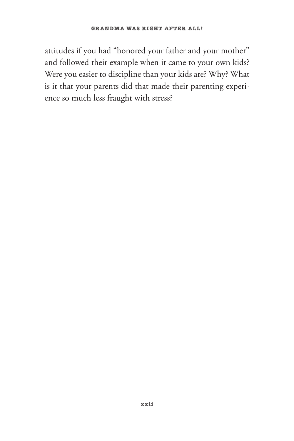attitudes if you had "honored your father and your mother" and followed their example when it came to your own kids? Were you easier to discipline than your kids are? Why? What is it that your parents did that made their parenting experience so much less fraught with stress?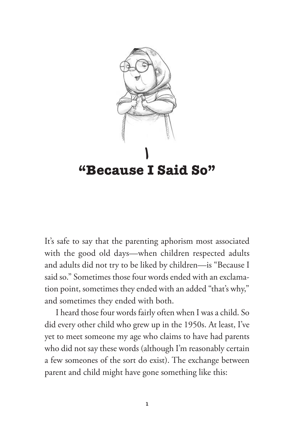<span id="page-19-0"></span>

It's safe to say that the parenting aphorism most associated with the good old days— when children respected adults and adults did not try to be liked by children—is "Because I said so." Sometimes those four words ended with an exclamation point, sometimes they ended with an added "that's why," and sometimes they ended with both.

I heard those four words fairly often when I was a child. So did every other child who grew up in the 1950s. At least, I've yet to meet someone my age who claims to have had parents who did not say these words (although I'm reasonably certain a few someones of the sort do exist). The exchange between parent and child might have gone something like this: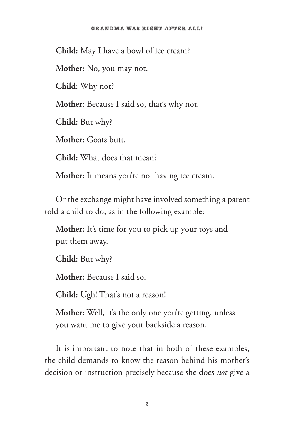#### **GRANDMA WAS RIGHT AFTER ALL!**

**Child:** May I have a bowl of ice cream? **Mother:** No, you may not. **Child:** Why not? **Mother:** Because I said so, that's why not.

**Child:** But why?

**Mother:** Goats butt.

**Child:** What does that mean?

**Mother:** It means you're not having ice cream.

Or the exchange might have involved something a parent told a child to do, as in the following example:

**Mother:** It's time for you to pick up your toys and put them away.

**Child:** But why?

**Mother:** Because I said so.

**Child:** Ugh! That's not a reason!

**Mother:** Well, it's the only one you're getting, unless you want me to give your backside a reason.

It is important to note that in both of these examples, the child demands to know the reason behind his mother's decision or instruction precisely because she does *not* give a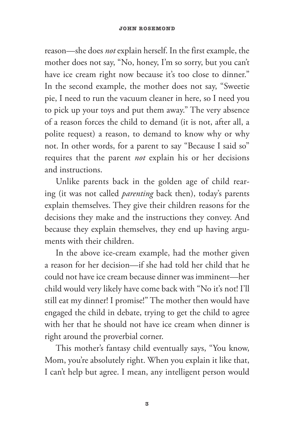reason—she does *not* explain herself. In the first example, the mother does not say, "No, honey, I'm so sorry, but you can't have ice cream right now because it's too close to dinner." In the second example, the mother does not say, "Sweetie pie, I need to run the vacuum cleaner in here, so I need you to pick up your toys and put them away." The very absence of a reason forces the child to demand (it is not, after all, a polite request) a reason, to demand to know why or why not. In other words, for a parent to say "Because I said so" requires that the parent *not* explain his or her decisions and instructions.

Unlike parents back in the golden age of child rearing (it was not called *parenting* back then), today's parents explain themselves. They give their children reasons for the decisions they make and the instructions they convey. And because they explain themselves, they end up having arguments with their children.

In the above ice-cream example, had the mother given a reason for her decision—if she had told her child that he could not have ice cream because dinner was imminent—her child would very likely have come back with "No it's not! I'll still eat my dinner! I promise!" The mother then would have engaged the child in debate, trying to get the child to agree with her that he should not have ice cream when dinner is right around the proverbial corner.

This mother's fantasy child eventually says, "You know, Mom, you're absolutely right. When you explain it like that, I can't help but agree. I mean, any intelligent person would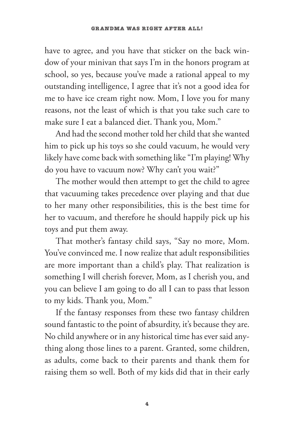have to agree, and you have that sticker on the back window of your minivan that says I'm in the honors program at school, so yes, because you've made a rational appeal to my outstanding intelligence, I agree that it's not a good idea for me to have ice cream right now. Mom, I love you for many reasons, not the least of which is that you take such care to make sure I eat a balanced diet. Thank you, Mom."

And had the second mother told her child that she wanted him to pick up his toys so she could vacuum, he would very likely have come back with something like "I'm playing! Why do you have to vacuum now? Why can't you wait?"

The mother would then attempt to get the child to agree that vacuuming takes precedence over playing and that due to her many other responsibilities, this is the best time for her to vacuum, and therefore he should happily pick up his toys and put them away.

That mother's fantasy child says, "Say no more, Mom. You've convinced me. I now realize that adult responsibilities are more important than a child's play. That realization is something I will cherish forever, Mom, as I cherish you, and you can believe I am going to do all I can to pass that lesson to my kids. Thank you, Mom."

If the fantasy responses from these two fantasy children sound fantastic to the point of absurdity, it's because they are. No child anywhere or in any historical time has ever said anything along those lines to a parent. Granted, some children, as adults, come back to their parents and thank them for raising them so well. Both of my kids did that in their early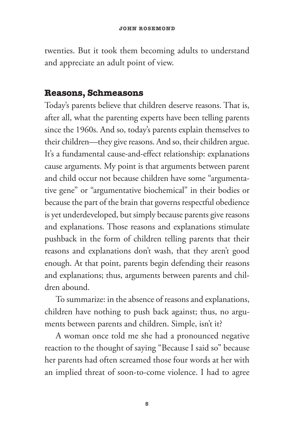twenties. But it took them becoming adults to understand and appreciate an adult point of view.

#### **Reasons, Schmeasons**

Today's parents believe that children deserve reasons. That is, after all, what the parenting experts have been telling parents since the 1960s. And so, today's parents explain themselves to their children—they give reasons. And so, their children argue. It's a fundamental cause-and-effect relationship: explanations cause arguments. My point is that arguments between parent and child occur not because children have some "argumentative gene" or "argumentative biochemical" in their bodies or because the part of the brain that governs respectful obedience is yet underdeveloped, but simply because parents give reasons and explanations. Those reasons and explanations stimulate pushback in the form of children telling parents that their reasons and explanations don't wash, that they aren't good enough. At that point, parents begin defending their reasons and explanations; thus, arguments between parents and children abound.

To summarize: in the absence of reasons and explanations, children have nothing to push back against; thus, no arguments between parents and children. Simple, isn't it?

A woman once told me she had a pronounced negative reaction to the thought of saying "Because I said so" because her parents had often screamed those four words at her with an implied threat of soon-to-come violence. I had to agree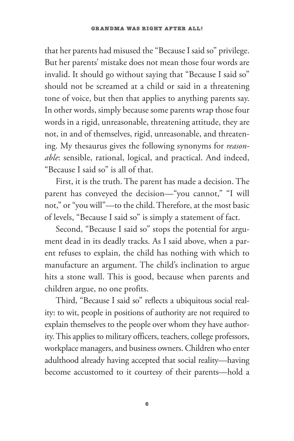that her parents had misused the "Because I said so" privilege. But her parents' mistake does not mean those four words are invalid. It should go without saying that "Because I said so" should not be screamed at a child or said in a threatening tone of voice, but then that applies to anything parents say. In other words, simply because some parents wrap those four words in a rigid, unreasonable, threatening attitude, they are not, in and of themselves, rigid, unreasonable, and threatening. My thesaurus gives the following synonyms for *reasonable*: sensible, rational, logical, and practical. And indeed, "Because I said so" is all of that.

First, it is the truth. The parent has made a decision. The parent has conveyed the decision—"you cannot," "I will not," or "you will"—to the child. Therefore, at the most basic of levels, "Because I said so" is simply a statement of fact.

Second, "Because I said so" stops the potential for argument dead in its deadly tracks. As I said above, when a parent refuses to explain, the child has nothing with which to manufacture an argument. The child's inclination to argue hits a stone wall. This is good, because when parents and children argue, no one profits.

Third, "Because I said so" reflects a ubiquitous social reality: to wit, people in positions of authority are not required to explain themselves to the people over whom they have authority. This applies to military officers, teachers, college professors, workplace managers, and business owners. Children who enter adulthood already having accepted that social reality—having become accustomed to it courtesy of their parents— hold a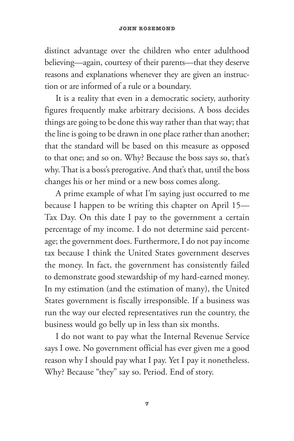distinct advantage over the children who enter adulthood believing—again, courtesy of their parents—that they deserve reasons and explanations whenever they are given an instruction or are informed of a rule or a boundary.

It is a reality that even in a democratic society, authority figures frequently make arbitrary decisions. A boss decides things are going to be done this way rather than that way; that the line is going to be drawn in one place rather than another; that the standard will be based on this measure as opposed to that one; and so on. Why? Because the boss says so, that's why. That is a boss's prerogative. And that's that, until the boss changes his or her mind or a new boss comes along.

A prime example of what I'm saying just occurred to me because I happen to be writing this chapter on April 15— Tax Day. On this date I pay to the government a certain percentage of my income. I do not determine said percentage; the government does. Furthermore, I do not pay income tax because I think the United States government deserves the money. In fact, the government has consistently failed to demonstrate good stewardship of my hard-earned money. In my estimation (and the estimation of many), the United States government is fiscally irresponsible. If a business was run the way our elected representatives run the country, the business would go belly up in less than six months.

I do not want to pay what the Internal Revenue Service says I owe. No government official has ever given me a good reason why I should pay what I pay. Yet I pay it nonetheless. Why? Because "they" say so. Period. End of story.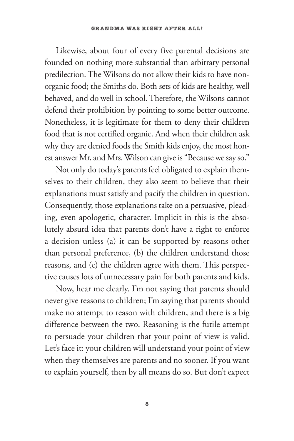Likewise, about four of every five parental decisions are founded on nothing more substantial than arbitrary personal predilection. The Wilsons do not allow their kids to have nonorganic food; the Smiths do. Both sets of kids are healthy, well behaved, and do well in school. Therefore, the Wilsons cannot defend their prohibition by pointing to some better outcome. Nonetheless, it is legitimate for them to deny their children food that is not certified organic. And when their children ask why they are denied foods the Smith kids enjoy, the most honest answer Mr. and Mrs. Wilson can give is "Because we say so."

Not only do today's parents feel obligated to explain themselves to their children, they also seem to believe that their explanations must satisfy and pacify the children in question. Consequently, those explanations take on a persuasive, pleading, even apologetic, character. Implicit in this is the absolutely absurd idea that parents don't have a right to enforce a decision unless (a) it can be supported by reasons other than personal preference, (b) the children understand those reasons, and (c) the children agree with them. This perspective causes lots of unnecessary pain for both parents and kids.

Now, hear me clearly. I'm not saying that parents should never give reasons to children; I'm saying that parents should make no attempt to reason with children, and there is a big difference between the two. Reasoning is the futile attempt to persuade your children that your point of view is valid. Let's face it: your children will understand your point of view when they themselves are parents and no sooner. If you want to explain yourself, then by all means do so. But don't expect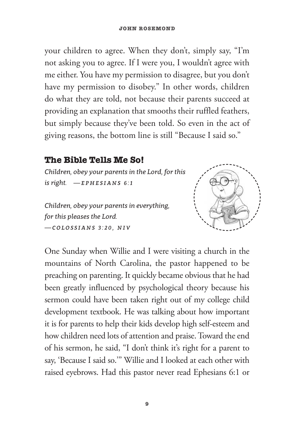your children to agree. When they don't, simply say, "I'm not asking you to agree. If I were you, I wouldn't agree with me either. You have my permission to disagree, but you don't have my permission to disobey." In other words, children do what they are told, not because their parents succeed at providing an explanation that smooths their ruffled feathers, but simply because they've been told. So even in the act of giving reasons, the bottom line is still "Because I said so."

#### **The Bible Tells Me So!**

*Children, obey your parents in the Lord, for this is right. —E phe sians 6:1*

*Children, obey your parents in everything, for this pleases the Lord. —Colossians 3:20, niv*



One Sunday when Willie and I were visiting a church in the mountains of North Carolina, the pastor happened to be preaching on parenting. It quickly became obvious that he had been greatly influenced by psychological theory because his sermon could have been taken right out of my college child development textbook. He was talking about how important it is for parents to help their kids develop high self-esteem and how children need lots of attention and praise. Toward the end of his sermon, he said, "I don't think it's right for a parent to say, 'Because I said so.'" Willie and I looked at each other with raised eyebrows. Had this pastor never read Ephesians 6:1 or